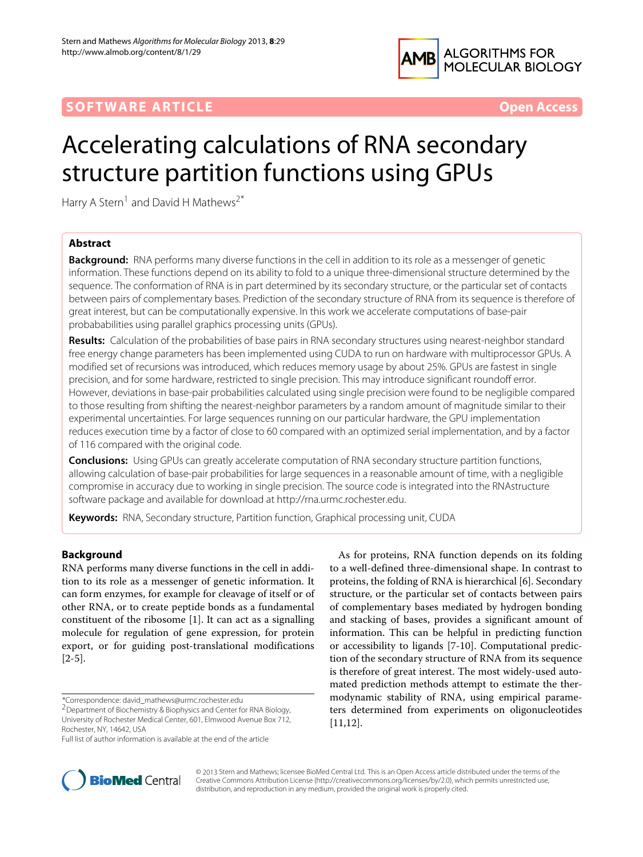

## **SOFTWARE ARTICLE** *Open Access*

# Accelerating calculations of RNA secondary structure partition functions using GPUs

Harry A Stern<sup>1</sup> and David H Mathews<sup>2\*</sup>

## **Abstract**

**Background:** RNA performs many diverse functions in the cell in addition to its role as a messenger of genetic information. These functions depend on its ability to fold to a unique three-dimensional structure determined by the sequence. The conformation of RNA is in part determined by its secondary structure, or the particular set of contacts between pairs of complementary bases. Prediction of the secondary structure of RNA from its sequence is therefore of great interest, but can be computationally expensive. In this work we accelerate computations of base-pair probababilities using parallel graphics processing units (GPUs).

**Results:** Calculation of the probabilities of base pairs in RNA secondary structures using nearest-neighbor standard free energy change parameters has been implemented using CUDA to run on hardware with multiprocessor GPUs. A modified set of recursions was introduced, which reduces memory usage by about 25%. GPUs are fastest in single precision, and for some hardware, restricted to single precision. This may introduce significant roundoff error. However, deviations in base-pair probabilities calculated using single precision were found to be negligible compared to those resulting from shifting the nearest-neighbor parameters by a random amount of magnitude similar to their experimental uncertainties. For large sequences running on our particular hardware, the GPU implementation reduces execution time by a factor of close to 60 compared with an optimized serial implementation, and by a factor of 116 compared with the original code.

**Conclusions:** Using GPUs can greatly accelerate computation of RNA secondary structure partition functions, allowing calculation of base-pair probabilities for large sequences in a reasonable amount of time, with a negligible compromise in accuracy due to working in single precision. The source code is integrated into the RNAstructure software package and available for download at [http://rna.urmc.rochester.edu.](http://rna.urmc.rochester.edu)

**Keywords:** RNA, Secondary structure, Partition function, Graphical processing unit, CUDA

## **Background**

RNA performs many diverse functions in the cell in addition to its role as a messenger of genetic information. It can form enzymes, for example for cleavage of itself or of other RNA, or to create peptide bonds as a fundamental constituent of the ribosome [\[1\]](#page-7-0). It can act as a signalling molecule for regulation of gene expression, for protein export, or for guiding post-translational modifications [\[2](#page-7-1)[-5\]](#page-7-2).





© 2013 Stern and Mathews; licensee BioMed Central Ltd. This is an Open Access article distributed under the terms of the Creative Commons Attribution License (http://creativecommons.org/licenses/by/2.0), which permits unrestricted use, distribution, and reproduction in any medium, provided the original work is properly cited.

<sup>\*</sup>Correspondence: david\_mathews@urmc.rochester.edu

<sup>2</sup>Department of Biochemistry & Biophysics and Center for RNA Biology, University of Rochester Medical Center, 601, Elmwood Avenue Box 712,

Rochester, NY, 14642, USA

Full list of author information is available at the end of the article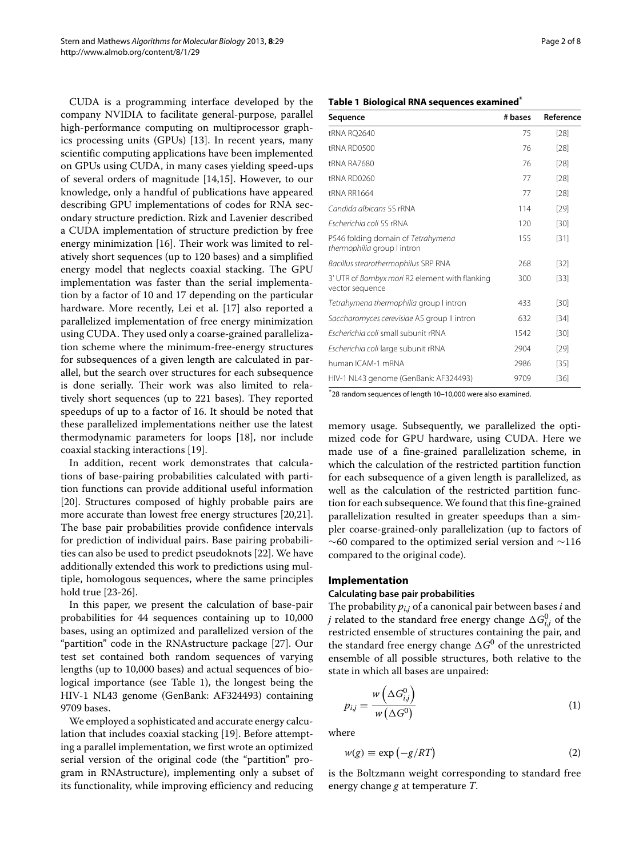CUDA is a programming interface developed by the company NVIDIA to facilitate general-purpose, parallel high-performance computing on multiprocessor graphics processing units (GPUs) [\[13\]](#page-7-8). In recent years, many scientific computing applications have been implemented on GPUs using CUDA, in many cases yielding speed-ups of several orders of magnitude [\[14](#page-7-9)[,15\]](#page-7-10). However, to our knowledge, only a handful of publications have appeared describing GPU implementations of codes for RNA secondary structure prediction. Rizk and Lavenier described a CUDA implementation of structure prediction by free energy minimization [\[16\]](#page-7-11). Their work was limited to relatively short sequences (up to 120 bases) and a simplified energy model that neglects coaxial stacking. The GPU implementation was faster than the serial implementation by a factor of 10 and 17 depending on the particular hardware. More recently, Lei et al. [\[17\]](#page-7-12) also reported a parallelized implementation of free energy minimization using CUDA. They used only a coarse-grained parallelization scheme where the minimum-free-energy structures for subsequences of a given length are calculated in parallel, but the search over structures for each subsequence is done serially. Their work was also limited to relatively short sequences (up to 221 bases). They reported speedups of up to a factor of 16. It should be noted that these parallelized implementations neither use the latest thermodynamic parameters for loops [\[18\]](#page-7-13), nor include coaxial stacking interactions [\[19\]](#page-7-14).

In addition, recent work demonstrates that calculations of base-pairing probabilities calculated with partition functions can provide additional useful information [\[20\]](#page-7-15). Structures composed of highly probable pairs are more accurate than lowest free energy structures [\[20,](#page-7-15)[21\]](#page-7-16). The base pair probabilities provide confidence intervals for prediction of individual pairs. Base pairing probabilities can also be used to predict pseudoknots [\[22\]](#page-7-17). We have additionally extended this work to predictions using multiple, homologous sequences, where the same principles hold true [\[23](#page-7-18)[-26\]](#page-7-19).

In this paper, we present the calculation of base-pair probabilities for 44 sequences containing up to 10,000 bases, using an optimized and parallelized version of the "partition" code in the RNAstructure package [\[27\]](#page-7-20). Our test set contained both random sequences of varying lengths (up to 10,000 bases) and actual sequences of biological importance (see Table [1\)](#page-1-0), the longest being the HIV-1 NL43 genome (GenBank: AF324493) containing 9709 bases.

We employed a sophisticated and accurate energy calculation that includes coaxial stacking [\[19\]](#page-7-14). Before attempting a parallel implementation, we first wrote an optimized serial version of the original code (the "partition" program in RNAstructure), implementing only a subset of its functionality, while improving efficiency and reducing

## **Table 1 Biological RNA sequences examined\***

<span id="page-1-0"></span>

| Sequence                                                                 | # bases | Reference |
|--------------------------------------------------------------------------|---------|-----------|
| tRNA RQ2640                                                              | 75      | [28]      |
| tRNA RD0500                                                              | 76      | [28]      |
| tRNA RA7680                                                              | 76      | [28]      |
| tRNA RD0260                                                              | 77      | [28]      |
| <b>tRNA RR1664</b>                                                       | 77      | $[28]$    |
| Candida albicans 5S rRNA                                                 | 114     | $[29]$    |
| Escherichia coli 5S rRNA                                                 | 120     | $[30]$    |
| P546 folding domain of Tetrahymena<br>thermophilia group I intron        | 155     | [31]      |
| Bacillus stearothermophilus SRP RNA                                      | 268     | [32]      |
| 3' UTR of <i>Bombyx mori</i> R2 element with flanking<br>vector sequence | 300     | $[33]$    |
| Tetrahymena thermophilia group I intron                                  | 433     | [30]      |
| Saccharomyces cerevisiae A5 group II intron                              | 632     | [34]      |
| Escherichia coli small subunit rRNA                                      | 1542    | [30]      |
| Escherichia coli large subunit rRNA                                      | 2904    | [29]      |
| human ICAM-1 mRNA                                                        | 2986    | $[35]$    |
| HIV-1 NL43 genome (GenBank: AF324493)                                    | 9709    | $[36]$    |

\*28 random sequences of length 10–10,000 were also examined.

memory usage. Subsequently, we parallelized the optimized code for GPU hardware, using CUDA. Here we made use of a fine-grained parallelization scheme, in which the calculation of the restricted partition function for each subsequence of a given length is parallelized, as well as the calculation of the restricted partition function for each subsequence. We found that this fine-grained parallelization resulted in greater speedups than a simpler coarse-grained-only parallelization (up to factors of ∼60 compared to the optimized serial version and ∼116 compared to the original code).

### **Implementation**

## **Calculating base pair probabilities**

The probability *pi*,*<sup>j</sup>* of a canonical pair between bases *i* and *j* related to the standard free energy change  $\Delta G_{i,j}^0$  of the restricted ensemble of structures containing the pair, and the standard free energy change  $\Delta G^0$  of the unrestricted ensemble of all possible structures, both relative to the state in which all bases are unpaired:

$$
p_{i,j} = \frac{w\left(\Delta G_{i,j}^0\right)}{w\left(\Delta G^0\right)}\tag{1}
$$

where

$$
w(g) \equiv \exp(-g/RT) \tag{2}
$$

is the Boltzmann weight corresponding to standard free energy change *g* at temperature *T*.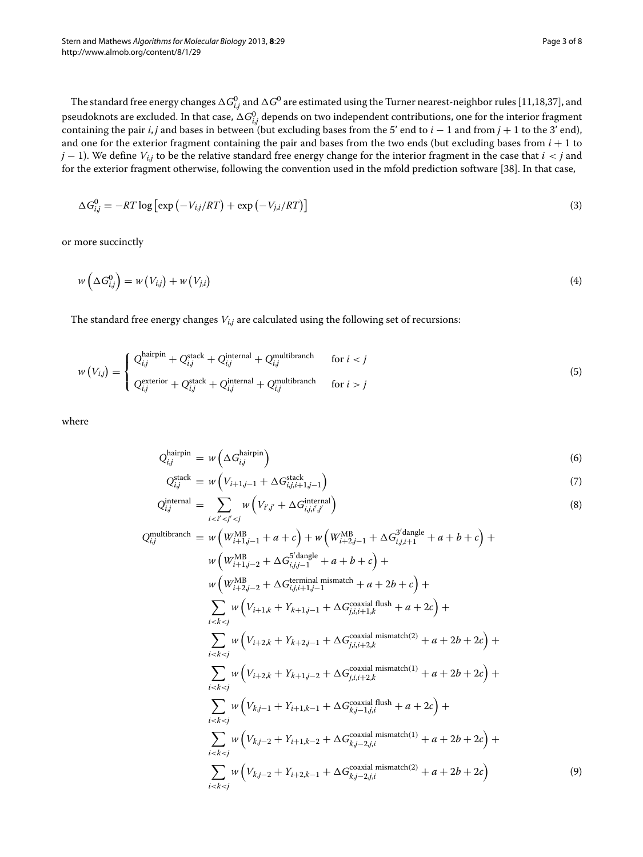The standard free energy changes  $\Delta G_{i,j}^0$  and  $\Delta G^0$  are estimated using the Turner nearest-neighbor rules [\[11,](#page-7-6)[18,](#page-7-13)[37\]](#page-7-30), and pseudoknots are excluded. In that case,  $\Delta G_{i,j}^0$  depends on two independent contributions, one for the interior fragment containing the pair *i*, *j* and bases in between (but excluding bases from the 5' end to *i* − 1 and from *j* + 1 to the 3' end), and one for the exterior fragment containing the pair and bases from the two ends (but excluding bases from  $i + 1$  to *j* − 1). We define *Vi*,*<sup>j</sup>* to be the relative standard free energy change for the interior fragment in the case that *i < j* and for the exterior fragment otherwise, following the convention used in the mfold prediction software [\[38\]](#page-7-31). In that case,

$$
\Delta G_{i,j}^0 = -RT \log \left[ \exp \left( -V_{i,j}/RT \right) + \exp \left( -V_{j,i}/RT \right) \right]
$$
\n(3)

or more succinctly

$$
w\left(\Delta G_{i,j}^0\right) = w\left(V_{i,j}\right) + w\left(V_{j,i}\right) \tag{4}
$$

The standard free energy changes *Vi*,*<sup>j</sup>* are calculated using the following set of recursions:

$$
w(V_{i,j}) = \begin{cases} Q_{i,j}^{\text{hairpin}} + Q_{i,j}^{\text{stack}} + Q_{i,j}^{\text{internal}} + Q_{i,j}^{\text{multibranch}} & \text{for } i < j \\ Q_{i,j}^{\text{exterior}} + Q_{i,j}^{\text{stack}} + Q_{i,j}^{\text{internal}} + Q_{i,j}^{\text{multibranch}} & \text{for } i > j \end{cases}
$$
(5)

where

<span id="page-2-0"></span>
$$
Q_{i,j}^{\text{hairpin}} = w\left(\Delta G_{i,j}^{\text{hairpin}}\right) \tag{6}
$$

$$
Q_{i,j}^{\text{stack}} = w \left( V_{i+1,j-1} + \Delta G_{i,j,i+1,j-1}^{\text{stack}} \right) \tag{7}
$$

$$
Q_{i,j}^{\text{internal}} = \sum_{i < i' < j' < j} w\left(V_{i',j'} + \Delta G_{i,j,i',j'}^{\text{internal}}\right) \tag{8}
$$

$$
Q_{i,j}^{\text{multibranch}} = w \left( W_{i+1,j-1}^{\text{MB}} + a + c \right) + w \left( W_{i+2,j-1}^{\text{MB}} + \Delta G_{i,j,i+1}^{3/\text{dangle}} + a + b + c \right) +
$$
  
\n
$$
w \left( W_{i+1,j-2}^{\text{MB}} + \Delta G_{i,j,j-1}^{\text{5/\text{dangle}}} + a + b + c \right) +
$$
  
\n
$$
w \left( W_{i+2,j-2}^{\text{MB}} + \Delta G_{i,j,i+1,j-1}^{\text{5/\text{dangle}}} + a + 2b + c \right) +
$$
  
\n
$$
\sum_{i < k < j} w \left( V_{i+1,k} + Y_{k+1,j-1} + \Delta G_{j,i,i+1,k}^{\text{cocal all flush}} + a + 2c \right) +
$$
  
\n
$$
\sum_{i < k < j} w \left( V_{i+2,k} + Y_{k+2,j-1} + \Delta G_{j,i,i+2,k}^{\text{cocal all mismatch(2)}} + a + 2b + 2c \right) +
$$
  
\n
$$
\sum_{i < k < j} w \left( V_{i+2,k} + Y_{k+1,j-2} + \Delta G_{j,i,i+2,k}^{\text{cocal all mismatch(1)}} + a + 2b + 2c \right) +
$$
  
\n
$$
\sum_{i < k < j} w \left( V_{k,j-1} + Y_{i+1,k-1} + \Delta G_{k,j-1,j,i}^{\text{cocalial flush}} + a + 2c \right) +
$$
  
\n
$$
\sum_{i < k < j} w \left( V_{k,j-2} + Y_{i+1,k-2} + \Delta G_{k,j-2,j,i}^{\text{cocal all mismatch(1)}} + a + 2b + 2c \right) +
$$
  
\n
$$
\sum_{i < k < j} w \left( V_{k,j-2} + Y_{i+2,k-1} + \Delta G_{k,j-2,j,i}^{\text{cocal all mismatch(2)}} + a + 2b + 2c \right) \tag{9}
$$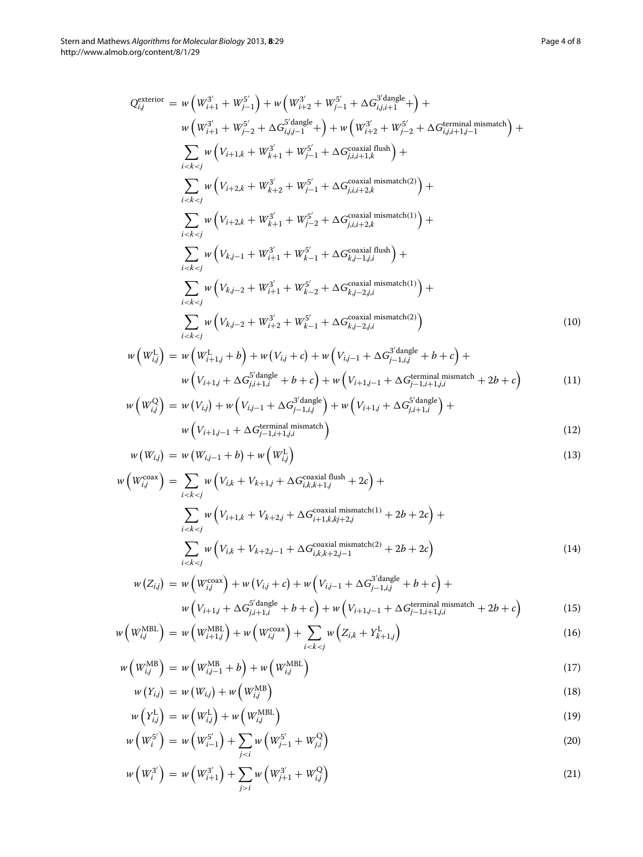<span id="page-3-0"></span>
$$
Q_{i,j}^{\text{exterior}} = w \left( W_{i+1}^{3'} + W_{j-1}^{5'} \right) + w \left( W_{i+2}^{3'} + W_{j-1}^{5'} + \Delta G_{i,j,i+1}^{3' \text{dangle}} + \right) +
$$
\n
$$
w \left( W_{i+1}^{3'} + W_{j-2}^{5'} + \Delta G_{i,j,j-1}^{5' \text{dangle}} + \right) + w \left( W_{i+2}^{3'} + W_{j-2}^{5'} + \Delta G_{i,j,i+1,j-1}^{t \text{terminal mismatch}} \right) +
$$
\n
$$
\sum_{i < k < j} w \left( V_{i+1,k} + W_{k+1}^{3'} + W_{j-1}^{5'} + \Delta G_{j,i,i+1,k}^{\text{cocalial flush}} \right) +
$$
\n
$$
\sum_{i < k < j} w \left( V_{i+2,k} + W_{k+2}^{3'} + W_{j-1}^{5'} + \Delta G_{j,i,i+2,k}^{\text{cocal all mismatch(2)}} \right) +
$$
\n
$$
\sum_{i < k < j} w \left( V_{i+2,k} + W_{k+1}^{3'} + W_{j-2}^{5'} + \Delta G_{j,i,i+2,k}^{\text{cocal all mismatch(1)}} \right) +
$$
\n
$$
\sum_{i < k < j} w \left( V_{k,j-1} + W_{i+1}^{3'} + W_{k-1}^{5'} + \Delta G_{k,j-1,j,i}^{\text{cocalial flush}} \right) +
$$
\n
$$
\sum_{i < k < j} w \left( V_{k,j-2} + W_{i+1}^{3'} + W_{k-2}^{5'} + \Delta G_{k,j-2,j,i}^{\text{cocalial mismatch(1)}} \right) +
$$
\n
$$
\sum_{i < k < j} w \left( V_{k,j-2} + W_{i+2}^{3'} + W_{k-1}^{5'} + \Delta G_{k,j-2,j,i}^{\text{cocalial mismatch(2)}} \right) \tag{10}
$$

$$
w\left(W_{i,j}^{\text{L}}\right) = w\left(W_{i+1,j}^{\text{L}} + b\right) + w\left(V_{i,j} + c\right) + w\left(V_{i,j-1} + \Delta G_{j-1,i,j}^{3' \text{dangle}} + b + c\right) + w\left(V_{i+1,j} + \Delta G_{j,i+1,i}^{5' \text{dangle}} + b + c\right) + w\left(V_{i+1,j-1} + \Delta G_{j-1,i+1,j,i}^{t\text{terminal mismatch}} + 2b + c\right)
$$
\n(11)

$$
w\left(W_{i,j}^{Q}\right) = w\left(V_{i,j}\right) + w\left(V_{i,j-1} + \Delta G_{j-1,i,j}^{3' \text{dangle}}\right) + w\left(V_{i+1,j} + \Delta G_{j,i+1,i}^{5' \text{dangle}}\right) + w\left(V_{i+1,j-1} + \Delta G_{j-1,i+1,j,i}^{ \text{terminal mismatch}}\right)
$$
\n
$$
(12)
$$

$$
w(W_{i,j}) = w(W_{i,j-1} + b) + w(W_{i,j}^{L})
$$
\n(13)

$$
w\left(W_{i,j}^{\text{coax}}\right) = \sum_{i < k < j} w\left(V_{i,k} + V_{k+1,j} + \Delta G_{i,k,k+1,j}^{\text{coaxial flush}} + 2c\right) + \sum_{i < k < j} w\left(V_{i+1,k} + V_{k+2,j} + \Delta G_{i+1,k,j+2,j}^{\text{coaxial mismatch}(1)} + 2b + 2c\right) + \sum_{i < k < j} w\left(V_{i,k} + V_{k+2,j-1} + \Delta G_{i,k,k+2,j-1}^{\text{coaxial mismatch}(2)} + 2b + 2c\right) \tag{14}
$$

$$
w(Z_{i,j}) = w\left(W_{i,j}^{\text{coax}}\right) + w\left(V_{i,j} + c\right) + w\left(V_{i,j-1} + \Delta G_{j-1,i,j}^{3' \text{dangle}} + b + c\right) +
$$
  

$$
w\left(V_{i+1,j} + \Delta G_{j,i+1,i}^{5' \text{dangle}} + b + c\right) + w\left(V_{i+1,j-1} + \Delta G_{j-1,i+1,j,i}^{\text{terminal mismatch}} + 2b + c\right)
$$
(15)

$$
w\left(W_{i,j}^{\text{MBL}}\right) = w\left(W_{i+1,j}^{\text{MBL}}\right) + w\left(W_{i,j}^{\text{coax}}\right) + \sum_{i < k < j} w\left(Z_{i,k} + Y_{k+1,j}^{\text{L}}\right) \tag{16}
$$

$$
w\left(W_{i,j}^{\text{MB}}\right) = w\left(W_{i,j-1}^{\text{MB}} + b\right) + w\left(W_{i,j}^{\text{MBL}}\right)
$$
\n(17)

$$
w(Y_{i,j}) = w(W_{i,j}) + w\left(W_{i,j}^{\text{MB}}\right)
$$
\n(18)

$$
w\left(Y_{i,j}^{\text{L}}\right) = w\left(W_{i,j}^{\text{L}}\right) + w\left(W_{i,j}^{\text{MBL}}\right) \tag{19}
$$

$$
w\left(W_i^{5'}\right) = w\left(W_{i-1}^{5'}\right) + \sum_{j < i} w\left(W_{j-1}^{5'} + W_{j,i}^{Q}\right) \tag{20}
$$

$$
w\left(W_i^{3'}\right) = w\left(W_{i+1}^{3'}\right) + \sum_{j>i} w\left(W_{j+1}^{3'} + W_{i,j}^{0}\right)
$$
\n(21)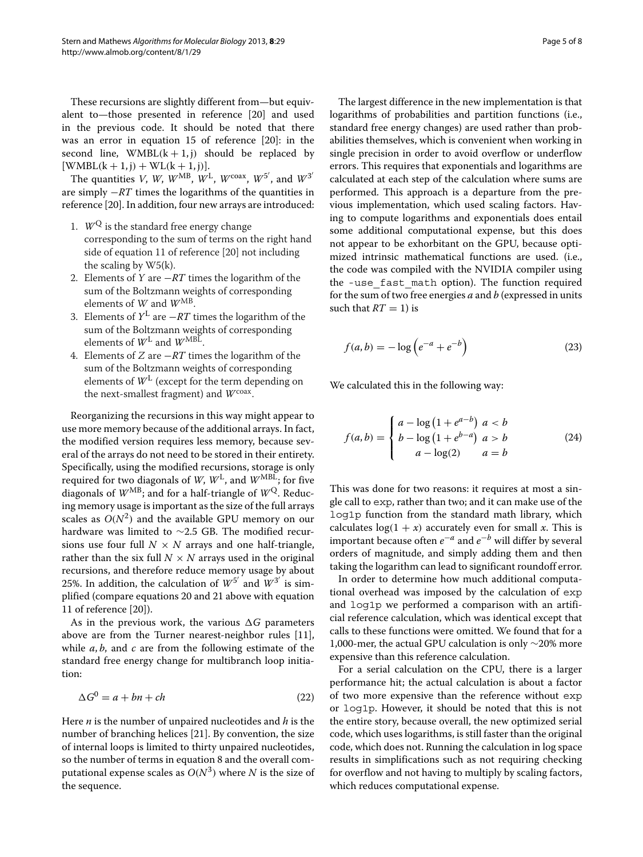These recursions are slightly different from—but equivalent to—those presented in reference [\[20\]](#page-7-15) and used in the previous code. It should be noted that there was an error in equation 15 of reference [\[20\]](#page-7-15): in the second line,  $WMBL(k+1, j)$  should be replaced by  $[WMBL(k + 1, j) + WL(k + 1, j)].$ 

The quantities *V*, *W*, *W*<sup>MB</sup>, *W*<sup>L</sup>, *W*<sup>coax</sup>, *W*<sup>5'</sup>, and *W*<sup>3'</sup> are simply −*RT* times the logarithms of the quantities in reference [\[20\]](#page-7-15). In addition, four new arrays are introduced:

- 1.  $W^Q$  is the standard free energy change corresponding to the sum of terms on the right hand side of equation 11 of reference [\[20\]](#page-7-15) not including the scaling by W5(k).
- 2. Elements of <sup>Y</sup> are −*RT* times the logarithm of the sum of the Boltzmann weights of corresponding elements of W and  $W^{MB}$ .
- 3. Elements of *<sup>Y</sup>*<sup>L</sup> are <sup>−</sup>*RT* times the logarithm of the sum of the Boltzmann weights of corresponding elements of  $W^L$  and  $W^{MBL}$ .
- 4. Elements of <sup>Z</sup> are −*RT* times the logarithm of the sum of the Boltzmann weights of corresponding elements of  $W<sup>L</sup>$  (except for the term depending on the next-smallest fragment) and *W*<sup>coax</sup>.

Reorganizing the recursions in this way might appear to use more memory because of the additional arrays. In fact, the modified version requires less memory, because several of the arrays do not need to be stored in their entirety. Specifically, using the modified recursions, storage is only required for two diagonals of *W*, *W*<sup>L</sup>, and *W*<sup>MBL</sup>; for five diagonals of  $W^{MB}$ ; and for a half-triangle of  $W^{Q}$ . Reducing memory usage is important as the size of the full arrays scales as  $O(N^2)$  and the available GPU memory on our hardware was limited to ∼2.5 GB. The modified recursions use four full  $N \times N$  arrays and one half-triangle, rather than the six full  $N \times N$  arrays used in the original recursions, and therefore reduce memory usage by about 25%. In addition, the calculation of  $W^{5'}$  and  $W^{3'}$  is simplified (compare equations [20](#page-3-0) and [21](#page-3-0) above with equation 11 of reference [\[20\]](#page-7-15)).

As in the previous work, the various  $\Delta G$  parameters above are from the Turner nearest-neighbor rules [\[11\]](#page-7-6), while *a*, *b*, and *c* are from the following estimate of the standard free energy change for multibranch loop initiation:

$$
\Delta G^0 = a + bn + ch \tag{22}
$$

Here *n* is the number of unpaired nucleotides and *h* is the number of branching helices [\[21\]](#page-7-16). By convention, the size of internal loops is limited to thirty unpaired nucleotides, so the number of terms in equation [8](#page-2-0) and the overall computational expense scales as  $O(N^3)$  where *N* is the size of the sequence.

The largest difference in the new implementation is that logarithms of probabilities and partition functions (i.e., standard free energy changes) are used rather than probabilities themselves, which is convenient when working in single precision in order to avoid overflow or underflow errors. This requires that exponentials and logarithms are calculated at each step of the calculation where sums are performed. This approach is a departure from the previous implementation, which used scaling factors. Having to compute logarithms and exponentials does entail some additional computational expense, but this does not appear to be exhorbitant on the GPU, because optimized intrinsic mathematical functions are used. (i.e., the code was compiled with the NVIDIA compiler using the -use\_fast\_math option). The function required for the sum of two free energies *a* and *b* (expressed in units such that  $RT = 1$ ) is

$$
f(a,b) = -\log(e^{-a} + e^{-b})
$$
 (23)

We calculated this in the following way:

$$
f(a,b) = \begin{cases} a - \log(1 + e^{a-b}) & a < b \\ b - \log(1 + e^{b-a}) & a > b \\ a - \log(2) & a = b \end{cases} \tag{24}
$$

This was done for two reasons: it requires at most a single call to exp, rather than two; and it can make use of the log1p function from the standard math library, which calculates  $log(1 + x)$  accurately even for small *x*. This is important because often *e*−*<sup>a</sup>* and *e*−*<sup>b</sup>* will differ by several orders of magnitude, and simply adding them and then taking the logarithm can lead to significant roundoff error.

In order to determine how much additional computational overhead was imposed by the calculation of exp and log1p we performed a comparison with an artificial reference calculation, which was identical except that calls to these functions were omitted. We found that for a 1,000-mer, the actual GPU calculation is only ∼20% more expensive than this reference calculation.

For a serial calculation on the CPU, there is a larger performance hit; the actual calculation is about a factor of two more expensive than the reference without exp or log1p. However, it should be noted that this is not the entire story, because overall, the new optimized serial code, which uses logarithms, is still faster than the original code, which does not. Running the calculation in log space results in simplifications such as not requiring checking for overflow and not having to multiply by scaling factors, which reduces computational expense.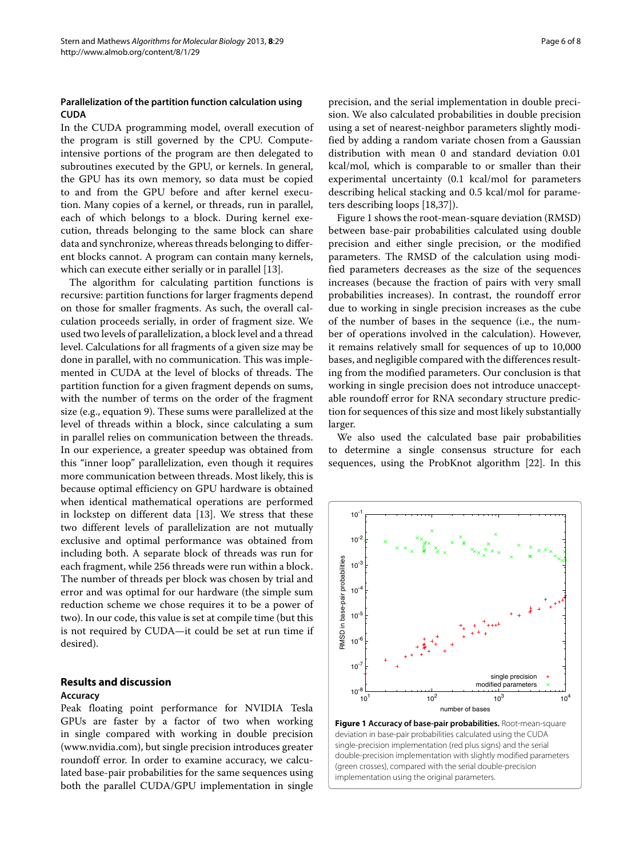## **Parallelization of the partition function calculation using CUDA**

In the CUDA programming model, overall execution of the program is still governed by the CPU. Computeintensive portions of the program are then delegated to subroutines executed by the GPU, or kernels. In general, the GPU has its own memory, so data must be copied to and from the GPU before and after kernel execution. Many copies of a kernel, or threads, run in parallel, each of which belongs to a block. During kernel execution, threads belonging to the same block can share data and synchronize, whereas threads belonging to different blocks cannot. A program can contain many kernels, which can execute either serially or in parallel [\[13\]](#page-7-8).

The algorithm for calculating partition functions is recursive: partition functions for larger fragments depend on those for smaller fragments. As such, the overall calculation proceeds serially, in order of fragment size. We used two levels of parallelization, a block level and a thread level. Calculations for all fragments of a given size may be done in parallel, with no communication. This was implemented in CUDA at the level of blocks of threads. The partition function for a given fragment depends on sums, with the number of terms on the order of the fragment size (e.g., equation [9\)](#page-2-0). These sums were parallelized at the level of threads within a block, since calculating a sum in parallel relies on communication between the threads. In our experience, a greater speedup was obtained from this "inner loop" parallelization, even though it requires more communication between threads. Most likely, this is because optimal efficiency on GPU hardware is obtained when identical mathematical operations are performed in lockstep on different data [\[13\]](#page-7-8). We stress that these two different levels of parallelization are not mutually exclusive and optimal performance was obtained from including both. A separate block of threads was run for each fragment, while 256 threads were run within a block. The number of threads per block was chosen by trial and error and was optimal for our hardware (the simple sum reduction scheme we chose requires it to be a power of two). In our code, this value is set at compile time (but this is not required by CUDA—it could be set at run time if desired).

## **Results and discussion**

### **Accuracy**

Peak floating point performance for NVIDIA Tesla GPUs are faster by a factor of two when working in single compared with working in double precision [\(www.nvidia.com\)](www.nvidia.com), but single precision introduces greater roundoff error. In order to examine accuracy, we calculated base-pair probabilities for the same sequences using both the parallel CUDA/GPU implementation in single precision, and the serial implementation in double precision. We also calculated probabilities in double precision using a set of nearest-neighbor parameters slightly modified by adding a random variate chosen from a Gaussian distribution with mean 0 and standard deviation 0.01 kcal/mol, which is comparable to or smaller than their experimental uncertainty (0.1 kcal/mol for parameters describing helical stacking and 0.5 kcal/mol for parameters describing loops [\[18,](#page-7-13)[37\]](#page-7-30)).

Figure [1](#page-5-0) shows the root-mean-square deviation (RMSD) between base-pair probabilities calculated using double precision and either single precision, or the modified parameters. The RMSD of the calculation using modified parameters decreases as the size of the sequences increases (because the fraction of pairs with very small probabilities increases). In contrast, the roundoff error due to working in single precision increases as the cube of the number of bases in the sequence (i.e., the number of operations involved in the calculation). However, it remains relatively small for sequences of up to 10,000 bases, and negligible compared with the differences resulting from the modified parameters. Our conclusion is that working in single precision does not introduce unacceptable roundoff error for RNA secondary structure prediction for sequences of this size and most likely substantially larger.

We also used the calculated base pair probabilities to determine a single consensus structure for each sequences, using the ProbKnot algorithm [\[22\]](#page-7-17). In this

<span id="page-5-0"></span>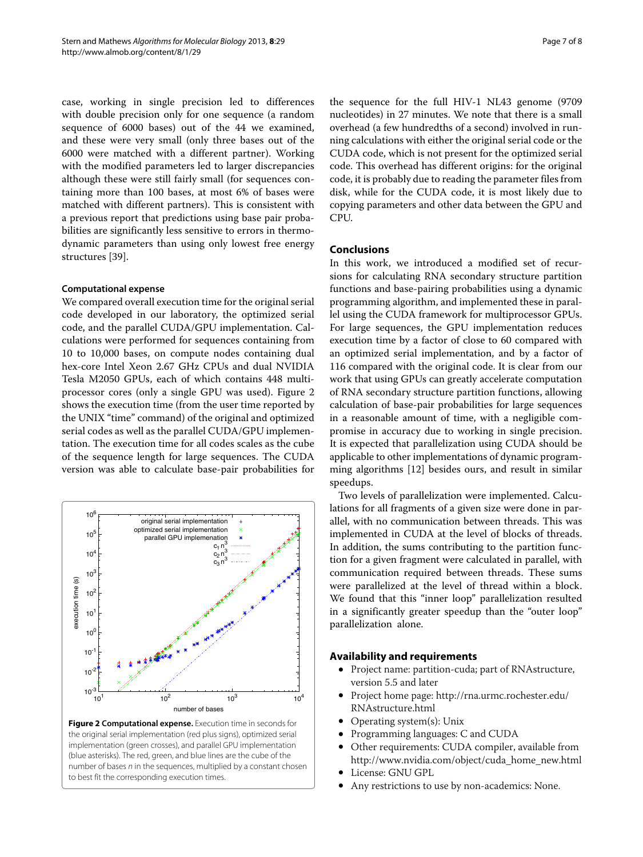case, working in single precision led to differences with double precision only for one sequence (a random sequence of 6000 bases) out of the 44 we examined, and these were very small (only three bases out of the 6000 were matched with a different partner). Working with the modified parameters led to larger discrepancies although these were still fairly small (for sequences containing more than 100 bases, at most 6% of bases were matched with different partners). This is consistent with a previous report that predictions using base pair probabilities are significantly less sensitive to errors in thermodynamic parameters than using only lowest free energy structures [\[39\]](#page-7-32).

## **Computational expense**

We compared overall execution time for the original serial code developed in our laboratory, the optimized serial code, and the parallel CUDA/GPU implementation. Calculations were performed for sequences containing from 10 to 10,000 bases, on compute nodes containing dual hex-core Intel Xeon 2.67 GHz CPUs and dual NVIDIA Tesla M2050 GPUs, each of which contains 448 multiprocessor cores (only a single GPU was used). Figure [2](#page-6-0) shows the execution time (from the user time reported by the UNIX "time" command) of the original and optimized serial codes as well as the parallel CUDA/GPU implementation. The execution time for all codes scales as the cube of the sequence length for large sequences. The CUDA version was able to calculate base-pair probabilities for



<span id="page-6-0"></span>**Figure 2 Computational expense.** Execution time in seconds for the original serial implementation (red plus signs), optimized serial implementation (green crosses), and parallel GPU implementation (blue asterisks). The red, green, and blue lines are the cube of the number of bases  $n$  in the sequences, multiplied by a constant chosen to best fit the corresponding execution times.

the sequence for the full HIV-1 NL43 genome (9709 nucleotides) in 27 minutes. We note that there is a small overhead (a few hundredths of a second) involved in running calculations with either the original serial code or the CUDA code, which is not present for the optimized serial code. This overhead has different origins: for the original code, it is probably due to reading the parameter files from disk, while for the CUDA code, it is most likely due to copying parameters and other data between the GPU and CPU.

## **Conclusions**

In this work, we introduced a modified set of recursions for calculating RNA secondary structure partition functions and base-pairing probabilities using a dynamic programming algorithm, and implemented these in parallel using the CUDA framework for multiprocessor GPUs. For large sequences, the GPU implementation reduces execution time by a factor of close to 60 compared with an optimized serial implementation, and by a factor of 116 compared with the original code. It is clear from our work that using GPUs can greatly accelerate computation of RNA secondary structure partition functions, allowing calculation of base-pair probabilities for large sequences in a reasonable amount of time, with a negligible compromise in accuracy due to working in single precision. It is expected that parallelization using CUDA should be applicable to other implementations of dynamic programming algorithms [\[12\]](#page-7-7) besides ours, and result in similar speedups.

Two levels of parallelization were implemented. Calculations for all fragments of a given size were done in parallel, with no communication between threads. This was implemented in CUDA at the level of blocks of threads. In addition, the sums contributing to the partition function for a given fragment were calculated in parallel, with communication required between threads. These sums were parallelized at the level of thread within a block. We found that this "inner loop" parallelization resulted in a significantly greater speedup than the "outer loop" parallelization alone.

## **Availability and requirements**

- Project name: partition-cuda; part of RNAstructure, version 5.5 and later
- Project home page: [http://rna.urmc.rochester.edu/](http://rna.urmc.rochester.edu/RNAstructure.html) [RNAstructure.html](http://rna.urmc.rochester.edu/RNAstructure.html)
- Operating system(s): Unix
- Programming languages: C and CUDA
- Other requirements: CUDA compiler, available from [http://www.nvidia.com/object/cuda\\_home\\_new.html](http://www.nvidia.com/object/cuda_home_new.html)
- License: GNU GPL
- Any restrictions to use by non-academics: None.